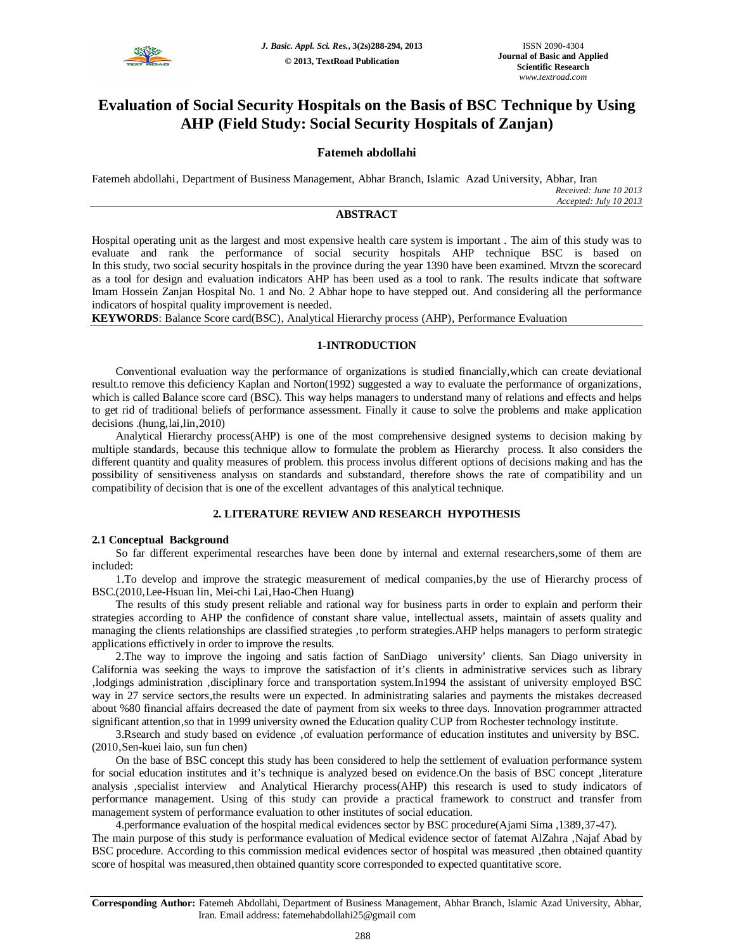

# **Evaluation of Social Security Hospitals on the Basis of BSC Technique by Using AHP (Field Study: Social Security Hospitals of Zanjan)**

## **Fatemeh abdollahi**

Fatemeh abdollahi, Department of Business Management, Abhar Branch, Islamic Azad University, Abhar, Iran *Received: June 10 2013 Accepted: July 10 2013*

## **ABSTRACT**

Hospital operating unit as the largest and most expensive health care system is important . The aim of this study was to evaluate and rank the performance of social security hospitals AHP technique BSC is based on In this study, two social security hospitals in the province during the year 1390 have been examined. Mtvzn the scorecard as a tool for design and evaluation indicators AHP has been used as a tool to rank. The results indicate that software Imam Hossein Zanjan Hospital No. 1 and No. 2 Abhar hope to have stepped out. And considering all the performance indicators of hospital quality improvement is needed.

KEYWORDS: Balance Score card(BSC), Analytical Hierarchy process (AHP), Performance Evaluation

## **1-INTRODUCTION**

Conventional evaluation way the performance of organizations is studied financially, which can create deviational result.to remove this deficiency Kaplan and Norton(1992) suggested a way to evaluate the performance of organizations, which is called Balance score card (BSC). This way helps managers to understand many of relations and effects and helps to get rid of traditional beliefs of performance assessment. Finally it cause to solve the problems and make application  $decisions$ .(hung, $lai,lin,2010$ )

Analytical Hierarchy process(AHP) is one of the most comprehensive designed systems to decision making by multiple standards, because this technique allow to formulate the problem as Hierarchy process. It also considers the different quantity and quality measures of problem. this process involus different options of decisions making and has the possibility of sensitiveness analysis on standards and substandard, therefore shows the rate of compatibility and un compatibility of decision that is one of the excellent advantages of this analytical technique.

## **2. LITERATURE REVIEW AND RESEARCH HYPOTHESIS**

## **2.1 Conceptual Background**

So far different experimental researches have been done by internal and external researchers, some of them are included:

1.To develop and improve the strategic measurement of medical companies, by the use of Hierarchy process of BSC.(2010, Lee-Hsuan lin, Mei-chi Lai, Hao-Chen Huang)

The results of this study present reliable and rational way for business parts in order to explain and perform their strategies according to AHP the confidence of constant share value, intellectual assets, maintain of assets quality and managing the clients relationships are classified strategies 'to perform strategies.AHP helps managers to perform strategic applications effictively in order to improve the results.

2.The way to improve the ingoing and satis faction of SanDiago university' clients. San Diago university in California was seeking the ways to improve the satisfaction of it's clients in administrative services such as library 'lodgings administration 'disciplinary force and transportation system.In1994 the assistant of university employed BSC way in 27 service sectors, the results were un expected. In administrating salaries and payments the mistakes decreased about %80 financial affairs decreased the date of payment from six weeks to three days. Innovation programmer attracted significant attention, so that in 1999 university owned the Education quality CUP from Rochester technology institute.

3.Rsearch and study based on evidence 'of evaluation performance of education institutes and university by BSC. (2010, Sen-kuei laio, sun fun chen)

On the base of BSC concept this study has been considered to help the settlement of evaluation performance system for social education institutes and it's technique is analyzed besed on evidence. On the basis of BSC concept ,literature analysis , specialist interview and Analytical Hierarchy process(AHP) this research is used to study indicators of performance management. Using of this study can provide a practical framework to construct and transfer from management system of performance evaluation to other institutes of social education.

4.performance evaluation of the hospital medical evidences sector by BSC procedure(Ajami Sima ,1389,37-47). The main purpose of this study is performance evaluation of Medical evidence sector of fatemat AlZahra , Najaf Abad by BSC procedure. According to this commission medical evidences sector of hospital was measured , then obtained quantity score of hospital was measured, then obtained quantity score corresponded to expected quantitative score.

**Corresponding Author:** Fatemeh Abdollahi, Department of Business Management, Abhar Branch, Islamic Azad University, Abhar, Iran. Email address: fatemehabdollahi25@gmail com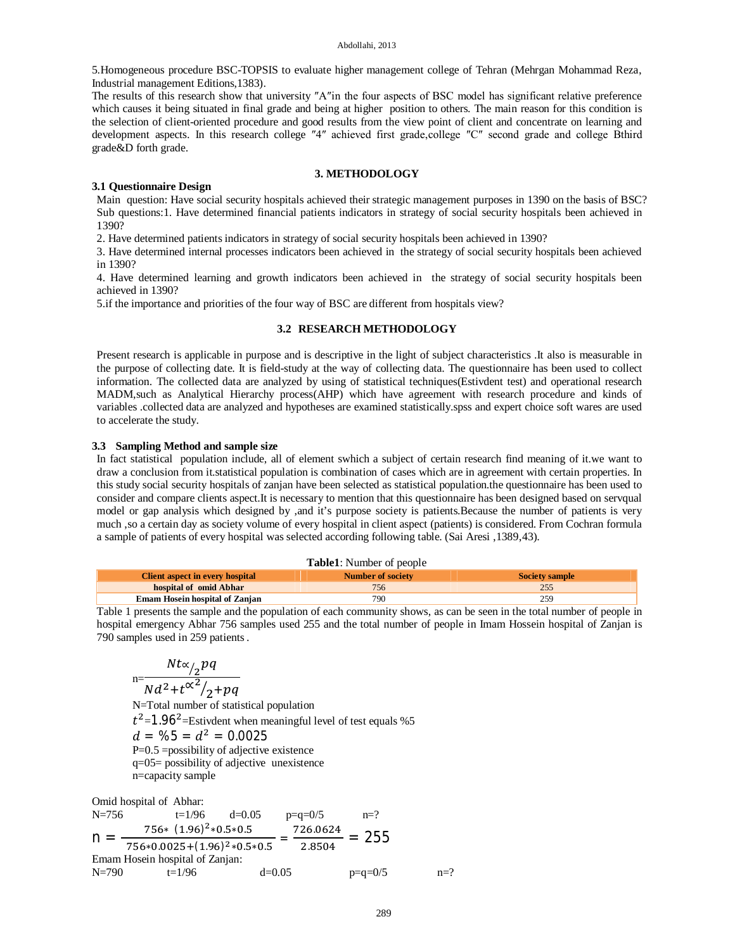5.Homogeneous procedure BSC-TOPSIS to evaluate higher management college of Tehran (Mehrgan Mohammad Reza' Industrial management Editions,1383).

The results of this research show that university ″A″in the four aspects of BSC model has significant relative preference which causes it being situated in final grade and being at higher position to others. The main reason for this condition is the selection of client-oriented procedure and good results from the view point of client and concentrate on learning and development aspects. In this research college "4" achieved first grade, college "C" second grade and college Bthird grade&D forth grade.

#### **3. METHODOLOGY**

### **3.1 Questionnaire Design**

Main question: Have social security hospitals achieved their strategic management purposes in 1390 on the basis of BSC? Sub questions:1. Have determined financial patients indicators in strategy of social security hospitals been achieved in 1390?

2. Have determined patients indicators in strategy of social security hospitals been achieved in 1390?

3. Have determined internal processes indicators been achieved in the strategy of social security hospitals been achieved in 1390?

4. Have determined learning and growth indicators been achieved in the strategy of social security hospitals been achieved in 1390?

5.if the importance and priorities of the four way of BSC are different from hospitals view?

#### **3.2 RESEARCH METHODOLOGY**

Present research is applicable in purpose and is descriptive in the light of subject characteristics .It also is measurable in the purpose of collecting date. It is field-study at the way of collecting data. The questionnaire has been used to collect information. The collected data are analyzed by using of statistical techniques(Estivdent test) and operational research MADM,such as Analytical Hierarchy process(AHP) which have agreement with research procedure and kinds of variables .collected data are analyzed and hypotheses are examined statistically.spss and expert choice soft wares are used to accelerate the study.

#### **3.3 Sampling Method and sample size**

In fact statistical population include, all of element swhich a subject of certain research find meaning of it.we want to draw a conclusion from it.statistical population is combination of cases which are in agreement with certain properties. In this study social security hospitals of zanjan have been selected as statistical population.the questionnaire has been used to consider and compare clients aspect.It is necessary to mention that this questionnaire has been designed based on servqual model or gap analysis which designed by ,and it's purpose society is patients.Because the number of patients is very much ,so a certain day as society volume of every hospital in client aspect (patients) is considered. From Cochran formula a sample of patients of every hospital was selected according following table. (Sai Aresi , 1389, 43).

|                                        | <b>THEFE</b> : INTERFACT OF DEOPTE |                       |
|----------------------------------------|------------------------------------|-----------------------|
| <b>Client aspect in every hospital</b> | Number of society                  | <b>Society sample</b> |
| hospital of omid Abhar                 | 756                                | 255                   |
| <b>Emam Hosein hospital of Zanjan</b>  | 790                                | 25G                   |
|                                        |                                    |                       |

**Table1**: Number of people

Table 1 presents the sample and the population of each community shows, as can be seen in the total number of people in hospital emergency Abhar 756 samples used 255 and the total number of people in Imam Hossein hospital of Zanjan is 790 samples used in 259 patients .

$$
Nt\alpha/2pq
$$
  

$$
N\alpha^2 + t\alpha^2/2 + pq
$$
  
N-Total number of static

N=Total number of statistical population  $t^2$ =1.96<sup>2</sup>=Estivdent when meaningful level of test equals %5  $d = \frac{0.0025}{0.0025}$ P=0.5 =possibility of adjective existence q=05= possibility of adjective unexistence n=capacity sample

Omid hospital of Abhar: N=756 t=1/96 d=0.05 p=q=0/5 n=? n =  $756*(1.96)^2*0.5*0.5$  $756*0.0025+(1.96)^2*0.5*0.5$  $=\frac{726.0624}{3.0534}$ 2.8504  $= 255$ Emam Hosein hospital of Zanjan:  $N=790$  t=1/96 d=0.05 p=q=0/5 n=?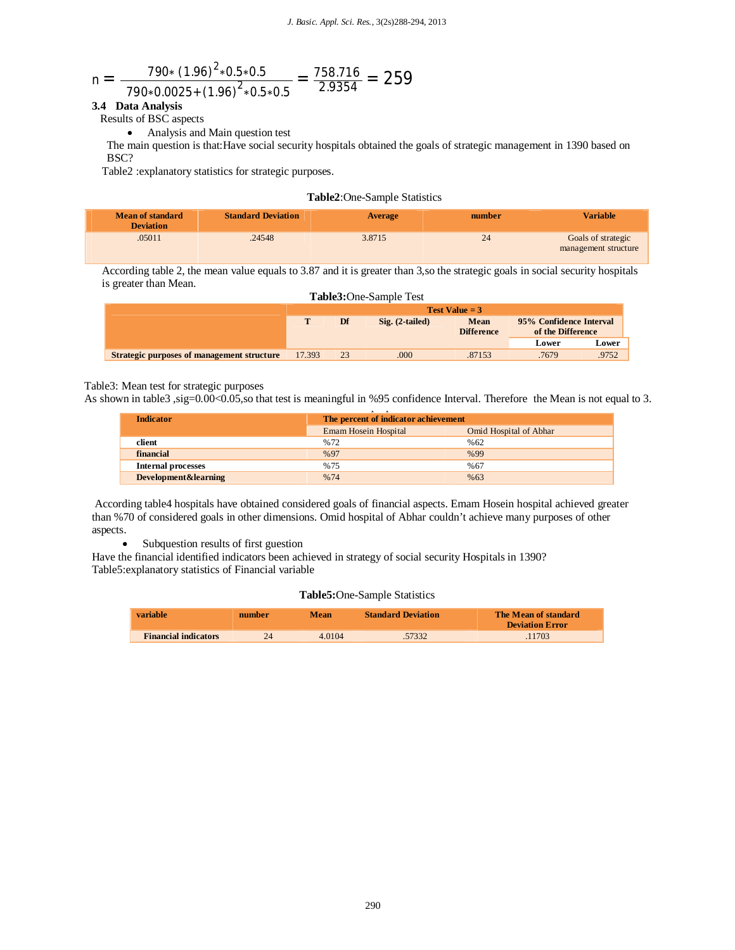$$
n = \frac{790*(1.96)^{2}*0.5*0.5}{790*0.0025*(1.96)^{2}*0.5*0.5} = \frac{758.716}{2.9354} = 259
$$

## **3.4 Data Analysis**

Results of BSC aspects

Analysis and Main question test

The main question is that:Have social security hospitals obtained the goals of strategic management in 1390 based on BSC?

Table2 :explanatory statistics for strategic purposes.

## **Table2**:One-Sample Statistics

| --<br><b>Mean of standard</b><br><b>Deviation</b> | <b>Standard Deviation</b> | Average | number | <b>Variable</b>                            |
|---------------------------------------------------|---------------------------|---------|--------|--------------------------------------------|
| .05011                                            | .24548                    | 3.8715  | 24     | Goals of strategic<br>management structure |

According table 2, the mean value equals to 3.87 and it is greater than 3,so the strategic goals in social security hospitals is greater than Mean.

|        | Df | $\text{Sig.}$ (2-tailed) | <b>Mean</b>                    |                                       |                                              |
|--------|----|--------------------------|--------------------------------|---------------------------------------|----------------------------------------------|
|        |    |                          |                                |                                       |                                              |
|        |    |                          |                                | Lower                                 | Lower                                        |
| 17.393 | 23 | .000                     | .87153                         | .7679                                 | .9752                                        |
|        |    |                          | <b>Table3:</b> One-Sample Test | Test Value $=$ 3<br><b>Difference</b> | 95% Confidence Interval<br>of the Difference |

## Table3: Mean test for strategic purposes

As shown in table3 ,sig=0.00<0.05,so that test is meaningful in %95 confidence Interval. Therefore the Mean is not equal to 3.

| <b>Indicator</b>          | The percent of indicator achievement |                               |
|---------------------------|--------------------------------------|-------------------------------|
|                           | <b>Emam Hosein Hospital</b>          | <b>Omid Hospital of Abhar</b> |
| client                    | %72                                  | %62                           |
| financial                 | %97                                  | %99                           |
| <b>Internal processes</b> | %75                                  | %67                           |
| Development&learning      | %74                                  | %63                           |

According table4 hospitals have obtained considered goals of financial aspects. Emam Hosein hospital achieved greater than %70 of considered goals in other dimensions. Omid hospital of Abhar couldn't achieve many purposes of other aspects.

Subquestion results of first guestion

Have the financial identified indicators been achieved in strategy of social security Hospitals in 1390? Table5:explanatory statistics of Financial variable

#### **Table5:**One-Sample Statistics

| variable                    | number | Mean   | <b>Standard Deviation</b> | The Mean of standard<br><b>Deviation Error</b> |
|-----------------------------|--------|--------|---------------------------|------------------------------------------------|
| <b>Financial indicators</b> | 24     | 4.0104 | 57332                     | 11703                                          |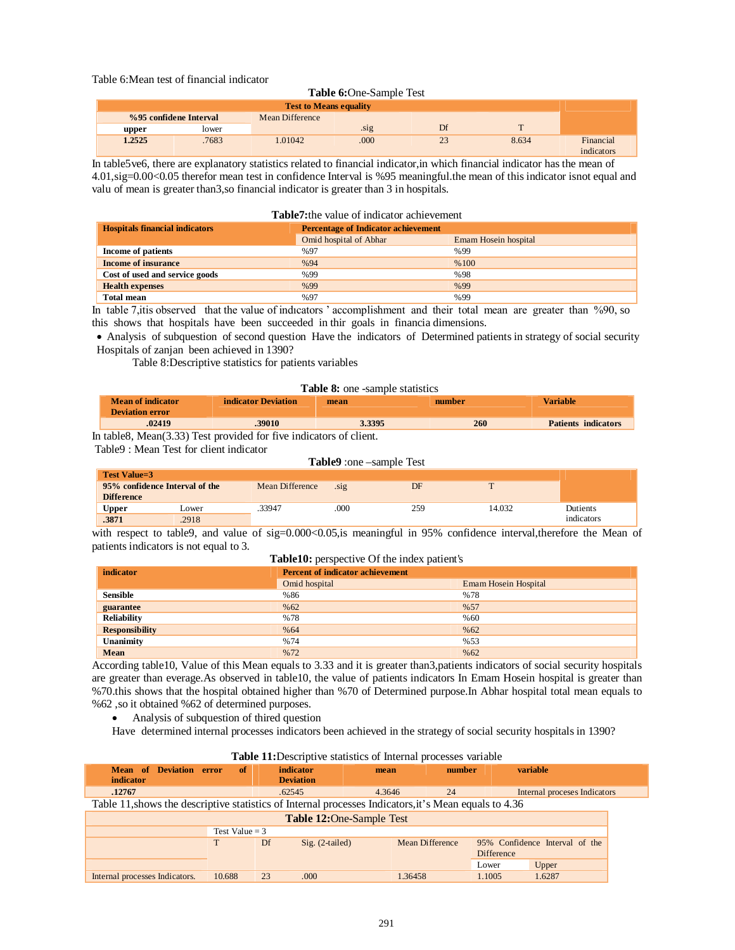## Table 6:Mean test of financial indicator

#### **Table 6:**One-Sample Test

| <b>Test to Means equality</b> |                        |                        |                  |    |       |                         |
|-------------------------------|------------------------|------------------------|------------------|----|-------|-------------------------|
|                               | %95 confidene Interval | <b>Mean Difference</b> |                  |    |       |                         |
| upper                         | lower                  |                        | . <sub>S1g</sub> | Df |       |                         |
| 1.2525                        | .7683                  | 1.01042                | .000             | 23 | 8.634 | Financial<br>indicators |

In table5ve6, there are explanatory statistics related to financial indicator,in which financial indicator has the mean of 4.01,sig=0.00<0.05 therefor mean test in confidence Interval is %95 meaningful.the mean of this indicator isnot equal and valu of mean is greater than3,so financial indicator is greater than 3 in hospitals.

#### **Table7:**the value of indicator achievement

| <b>Hospitals financial indicators</b> | <b>Percentage of Indicator achievement</b> |                      |
|---------------------------------------|--------------------------------------------|----------------------|
|                                       | Omid hospital of Abhar                     | Emam Hosein hospital |
| Income of patients                    | %97                                        | %99                  |
| <b>Income of insurance</b>            | %94                                        | %100                 |
| Cost of used and service goods        | %99                                        | %98                  |
| <b>Health expenses</b>                | %99                                        | %99                  |
| Total mean                            | %97                                        | %99                  |

In table 7,itis observed that the value of indıcators ' accomplishment and their total mean are greater than %90, so this shows that hospitals have been succeeded in thir goals in financia dimensions.

 Analysis of subquestion of second question Have the indicators of Determined patients in strategy of social security Hospitals of zanjan been achieved in 1390?

Table 8:Descriptive statistics for patients variables

#### **Table 8:** one -sample statistics

| <b>Mean of indicator</b><br>Deviation error | indicator Deviation | mean   | number | Variable                   |
|---------------------------------------------|---------------------|--------|--------|----------------------------|
| 02419                                       | 39010               | 3.3395 | 260    | <b>Patients indicators</b> |

In table8, Mean(3.33) Test provided for five indicators of client.

Table9 : Mean Test for client indicator

#### **Table9** :one –sample Test

| Test Value=3      |                                |                 |      |     |        |            |
|-------------------|--------------------------------|-----------------|------|-----|--------|------------|
|                   | 95% confidence Interval of the | Mean Difference | .S19 | DF  |        |            |
| <b>Difference</b> |                                |                 |      |     |        |            |
| Upper             | Lower                          | .33947          | .000 | 259 | 14.032 | Dutients   |
| .3871             | .2918                          |                 |      |     |        | indicators |

with respect to table9, and value of sig=0.000<0.05,is meaningful in 95% confidence interval, therefore the Mean of patients indicators is not equal to 3.

#### **Table10:** perspective Of the index patient's

| indicator             | <b>Percent of indicator achievement</b> |                             |
|-----------------------|-----------------------------------------|-----------------------------|
|                       | Omid hospital                           | <b>Emam Hosein Hospital</b> |
| <b>Sensible</b>       | %86                                     | %78                         |
| guarantee             | %62                                     | %57                         |
| <b>Reliability</b>    | %78                                     | %60                         |
| <b>Responsibility</b> | %64                                     | % 62                        |
| Unanimity             | %74                                     | %53                         |
| Mean                  | %72                                     | % 62                        |

According table10, Value of this Mean equals to 3.33 and it is greater than3,patients indicators of social security hospitals are greater than everage.As observed in table10, the value of patients indicators In Emam Hosein hospital is greater than %70.this shows that the hospital obtained higher than %70 of Determined purpose.In Abhar hospital total mean equals to %62 ,so it obtained %62 of determined purposes.

Analysis of subquestion of thired question

Have determined internal processes indicators been achieved in the strategy of social security hospitals in 1390?

| Table 11: Descriptive statistics of Internal processes variable |  |  |
|-----------------------------------------------------------------|--|--|
|                                                                 |  |  |

| <b>Mean of Deviation error</b><br>indicator                                                           | - of             | indicator<br><b>Deviation</b> | mean                             | number                 | variable                                            |
|-------------------------------------------------------------------------------------------------------|------------------|-------------------------------|----------------------------------|------------------------|-----------------------------------------------------|
| .12767                                                                                                |                  | .62545                        | 4.3646                           | 24                     | Internal proceses Indicators                        |
| Table 11, shows the descriptive statistics of Internal processes Indicators, it's Mean equals to 4.36 |                  |                               |                                  |                        |                                                     |
|                                                                                                       |                  |                               | <b>Table 12: One-Sample Test</b> |                        |                                                     |
|                                                                                                       | Test Value = $3$ |                               |                                  |                        |                                                     |
|                                                                                                       | Т                | Df                            | $Sig. (2-tailed)$                | <b>Mean Difference</b> | 95% Confidence Interval of the<br><b>Difference</b> |
|                                                                                                       |                  |                               |                                  |                        | Upper<br>Lower                                      |
| Internal processes Indicators.                                                                        | 10.688           | 23<br>.000.                   | 1.36458                          |                        | 1.6287<br>1.1005                                    |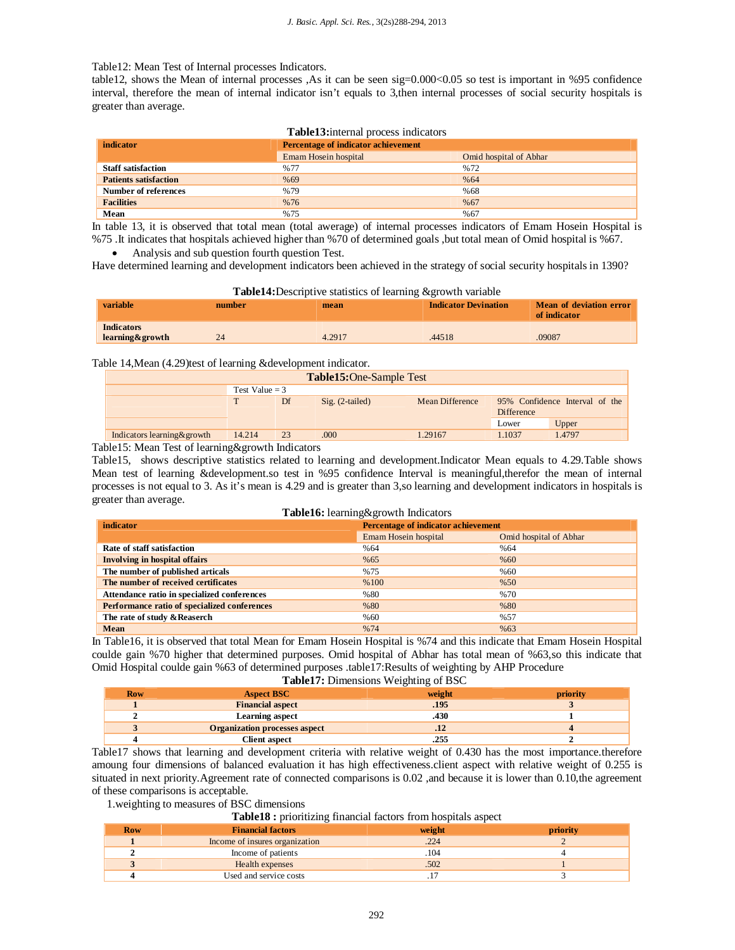## Table12: Mean Test of Internal processes Indicators.

table12, shows the Mean of internal processes ,As it can be seen sig=0.000<0.05 so test is important in %95 confidence interval, therefore the mean of internal indicator isn't equals to 3,then internal processes of social security hospitals is greater than average.

| <b>Table13:</b> internal process indicators |                                            |                        |  |  |  |  |  |
|---------------------------------------------|--------------------------------------------|------------------------|--|--|--|--|--|
| indicator                                   | <b>Percentage of indicator achievement</b> |                        |  |  |  |  |  |
|                                             | Emam Hosein hospital                       | Omid hospital of Abhar |  |  |  |  |  |
| <b>Staff satisfaction</b>                   | %77                                        | %72                    |  |  |  |  |  |
| <b>Patients satisfaction</b>                | %69                                        | %64                    |  |  |  |  |  |
| Number of references                        | %79                                        | %68                    |  |  |  |  |  |
| <b>Facilities</b>                           | %76                                        | % 67                   |  |  |  |  |  |
| Mean                                        | %75                                        | %67                    |  |  |  |  |  |

In table 13, it is observed that total mean (total awerage) of internal processes indicators of Emam Hosein Hospital is %75 .It indicates that hospitals achieved higher than %70 of determined goals ,but total mean of Omid hospital is %67.

Analysis and sub question fourth question Test.

Have determined learning and development indicators been achieved in the strategy of social security hospitals in 1390?

| <b>Table14:</b> Descriptive statistics of learning & growth variable |        |        |                             |                                         |  |  |  |
|----------------------------------------------------------------------|--------|--------|-----------------------------|-----------------------------------------|--|--|--|
| variable                                                             | number | mean   | <b>Indicator Devination</b> | Mean of deviation error<br>of indicator |  |  |  |
| <b>Indicators</b><br>learning&growth                                 | 24     | 4.2917 | .44518                      | .09087                                  |  |  |  |

## Table 14, Mean (4.29)test of learning &development indicator.

| <b>Table15:One-Sample Test</b> |                   |                 |                                              |        |  |  |  |  |
|--------------------------------|-------------------|-----------------|----------------------------------------------|--------|--|--|--|--|
| Test Value $=$ 3               |                   |                 |                                              |        |  |  |  |  |
| Df                             | $Sig. (2-tailed)$ | Mean Difference | 95% Confidence Interval of the<br>Difference |        |  |  |  |  |
|                                |                   |                 | Lower                                        | Upper  |  |  |  |  |
| 23                             | .000              | 1.29167         | 1.1037                                       | 1.4797 |  |  |  |  |
|                                | 14.214            |                 |                                              |        |  |  |  |  |

Table15: Mean Test of learning&growth Indicators

Table15, shows descriptive statistics related to learning and development.Indicator Mean equals to 4.29.Table shows Mean test of learning &development.so test in %95 confidence Interval is meaningful,therefor the mean of internal processes is not equal to 3. As it's mean is 4.29 and is greater than 3,so learning and development indicators in hospitals is greater than average.

| Table16: learning&growth Indicators          |                                     |                        |  |  |  |  |
|----------------------------------------------|-------------------------------------|------------------------|--|--|--|--|
| indicator                                    | Percentage of indicator achievement |                        |  |  |  |  |
|                                              | Emam Hosein hospital                | Omid hospital of Abhar |  |  |  |  |
| Rate of staff satisfaction                   | %64                                 | %64                    |  |  |  |  |
| <b>Involving in hospital offairs</b>         | % 65                                | %60                    |  |  |  |  |
| The number of published articals             | %75                                 | %60                    |  |  |  |  |
| The number of received certificates          | %100                                | %50                    |  |  |  |  |
| Attendance ratio in specialized conferences  | %80                                 | %70                    |  |  |  |  |
| Performance ratio of specialized conferences | %80                                 | %80                    |  |  |  |  |
| The rate of study & Reaserch                 | %60                                 | %57                    |  |  |  |  |
| <b>Mean</b>                                  | %74                                 | %63                    |  |  |  |  |

In Table16, it is observed that total Mean for Emam Hosein Hospital is %74 and this indicate that Emam Hosein Hospital coulde gain %70 higher that determined purposes. Omid hospital of Abhar has total mean of %63,so this indicate that Omid Hospital coulde gain %63 of determined purposes .table17:Results of weighting by AHP Procedure **Table17:** Dimensions Weighting of BSC

| <b>Table 17:</b> Difficultions weighting of D <sub>2</sub> C |                                      |        |          |  |  |  |  |
|--------------------------------------------------------------|--------------------------------------|--------|----------|--|--|--|--|
| <b>Row</b>                                                   | <b>Aspect BSC</b>                    | weight | priority |  |  |  |  |
|                                                              | <b>Financial aspect</b>              | .195   |          |  |  |  |  |
|                                                              | Learning aspect                      | .430   |          |  |  |  |  |
|                                                              | <b>Organization processes aspect</b> |        |          |  |  |  |  |
|                                                              | <b>Client aspect</b>                 | .255   |          |  |  |  |  |

Table17 shows that learning and development criteria with relative weight of 0.430 has the most importance.therefore amoung four dimensions of balanced evaluation it has high effectiveness.client aspect with relative weight of 0.255 is situated in next priority.Agreement rate of connected comparisons is 0.02 ,and because it is lower than 0.10,the agreement of these comparisons is acceptable.

1.weighting to measures of BSC dimensions

**Table18 :** prioritizing financial factors from hospitals aspect

| <b>Row</b> | . .<br><b>Financial factors</b> | weight | priority |
|------------|---------------------------------|--------|----------|
|            | Income of insures organization  | .224   |          |
|            | Income of patients              | .104   |          |
|            | Health expenses                 | .502   |          |
|            | Used and service costs          |        |          |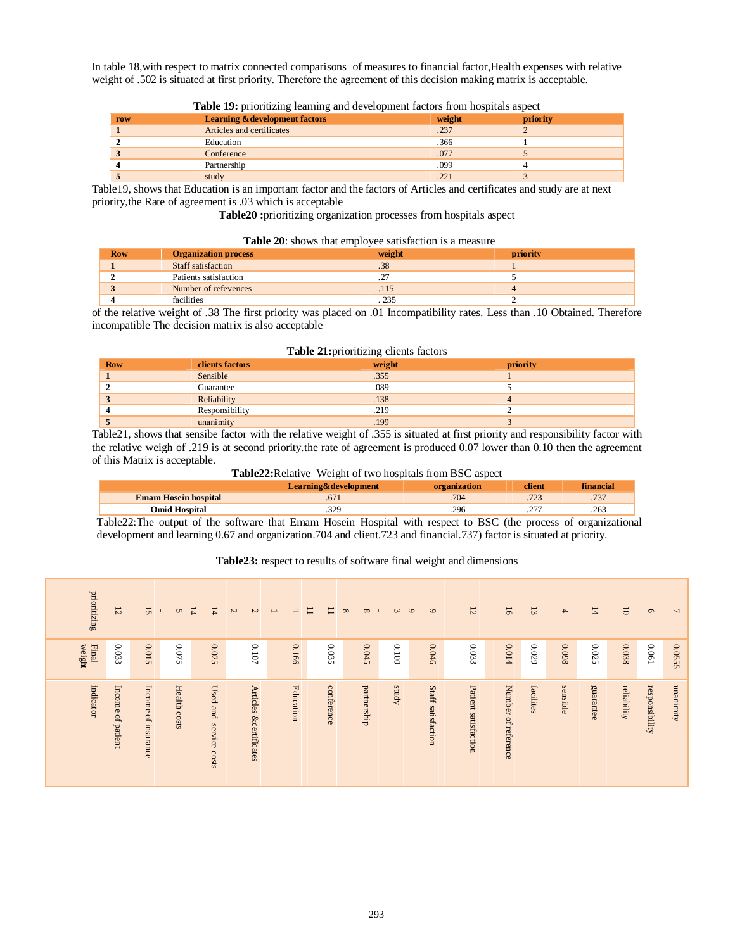In table 18,with respect to matrix connected comparisons of measures to financial factor,Health expenses with relative weight of .502 is situated at first priority. Therefore the agreement of this decision making matrix is acceptable.

| row    | <b>Learning &amp; development factors</b> | weight | priority |  |
|--------|-------------------------------------------|--------|----------|--|
|        | Articles and certificates                 | .237   |          |  |
|        | Education                                 | .366   |          |  |
| $\sim$ | Conference                                | .077   |          |  |
|        | Partnership                               | .099   |          |  |
|        | study                                     | .221   |          |  |

**Table 19:** prioritizing learning and development factors from hospitals aspect

Table19, shows that Education is an important factor and the factors of Articles and certificates and study are at next priority,the Rate of agreement is .03 which is acceptable

**Table20 :**prioritizing organization processes from hospitals aspect

#### **Table 20**: shows that employee satisfaction is a measure

| <b>Row</b> | <b>Organization process</b> | weight | priority |  |
|------------|-----------------------------|--------|----------|--|
|            | Staff satisfaction          | .38    |          |  |
|            | Patients satisfaction       |        |          |  |
|            | Number of refevences        |        |          |  |
|            | facilities                  |        |          |  |

of the relative weight of .38 The first priority was placed on .01 Incompatibility rates. Less than .10 Obtained. Therefore incompatible The decision matrix is also acceptable

#### **Table 21:**prioritizing clients factors

| <b>Row</b> | <b>clients</b> factors | weight | priority |
|------------|------------------------|--------|----------|
|            | Sensible               | .355   |          |
|            | Guarantee              | .089   |          |
|            | Reliability            | .138   |          |
|            | Responsibility         | .219   |          |
|            | unanimity              | 199    |          |

Table21, shows that sensibe factor with the relative weight of .355 is situated at first priority and responsibility factor with the relative weigh of .219 is at second priority.the rate of agreement is produced 0.07 lower than 0.10 then the agreement of this Matrix is acceptable.

**Table22:**Relative Weight of two hospitals from BSC aspect

|                             | Learning&development |      | <b>Allent</b> | <b>Mancia</b> |
|-----------------------------|----------------------|------|---------------|---------------|
| <b>Emam Hosein hospital</b> |                      | .704 |               | .737          |
| Omid Hospital               | 2۷.                  | .296 |               | .263          |

Table22:The output of the software that Emam Hosein Hospital with respect to BSC (the process of organizational development and learning 0.67 and organization.704 and client.723 and financial.737) factor is situated at priority.

## **Table23:** respect to results of software final weight and dimensions

| prioritzing            | $\overline{12}$   | 15                  | S            | $\overline{4}$<br>$\overline{14}$ | $\boldsymbol{\omega}$<br>$\overline{C}$ | $\overline{\phantom{0}}$<br>$\overline{\phantom{0}}$ | Ξ<br>Ξ     | $\infty$<br>$\infty$ | $\epsilon$ | $\circ$<br>$\circ$ | 12                   | $\overline{6}$      | $\overline{3}$ | $\rightarrow$ | $\frac{14}{14}$ | $\overline{0}$ | $\circ$        | $\overline{\phantom{a}}$ |
|------------------------|-------------------|---------------------|--------------|-----------------------------------|-----------------------------------------|------------------------------------------------------|------------|----------------------|------------|--------------------|----------------------|---------------------|----------------|---------------|-----------------|----------------|----------------|--------------------------|
| <b>Final</b><br>weight | $0.033\,$         | 0.015               | $0.075\,$    | 0.025                             | $0.107$                                 | 0.166                                                | 0.035      | 0.045                | $0.100$    | 0.046              | $0.033\,$            | 0.014               | $0.029\,$      | 860'0         | $0.025\,$       | 0.038          | 190'0          | 0.0555                   |
| indicator              | Income of patient | Income of insurance | Health costs | Used and service costs            | Articles &certificates                  | Education                                            | conference | partnership          | kpms       | Staff satisfaction | Patient satisfaction | Number of reference | facilites      | sensible      | guarantee       | reliability    | responsibility | unanimity                |